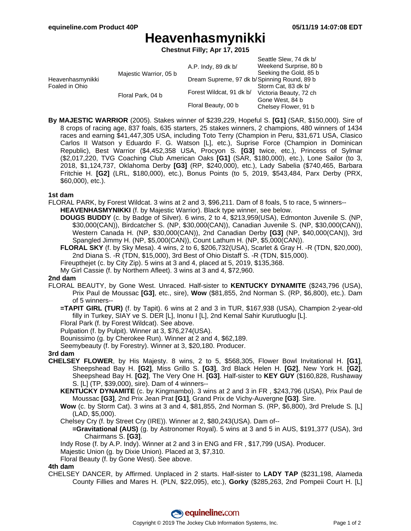Seattle Slew, 74 dk b/

# **Heavenhasmynikki**

**Chestnut Filly; Apr 17, 2015**

|                                    |                        |                                             | OUGHLE OIEW. 14 UK DI  |
|------------------------------------|------------------------|---------------------------------------------|------------------------|
| Heavenhasmynikki<br>Foaled in Ohio | Majestic Warrior, 05 b | A.P. Indy, 89 dk b/                         | Weekend Surprise, 80 b |
|                                    |                        |                                             | Seeking the Gold, 85 b |
|                                    |                        | Dream Supreme, 97 dk b/Spinning Round, 89 b |                        |
|                                    | Floral Park, 04 b      | Forest Wildcat, 91 dk b/                    | Storm Cat, 83 dk b/    |
|                                    |                        |                                             | Victoria Beauty, 72 ch |
|                                    |                        | Floral Beauty, 00 b                         | Gone West, 84 b        |
|                                    |                        |                                             | Chelsey Flower, 91 b   |
|                                    |                        |                                             |                        |

**By MAJESTIC WARRIOR** (2005). Stakes winner of \$239,229, Hopeful S. **[G1]** (SAR, \$150,000). Sire of 8 crops of racing age, 837 foals, 635 starters, 25 stakes winners, 2 champions, 480 winners of 1434 races and earning \$41,447,305 USA, including Toto Terry (Champion in Peru, \$31,671 USA, Clasico Carlos II Watson y Eduardo F. G. Watson [L], etc.), Suprise Force (Champion in Dominican Republic), Best Warrior (\$4,452,358 USA, Procyon S. **[G3]** twice, etc.), Princess of Sylmar (\$2,017,220, TVG Coaching Club American Oaks **[G1]** (SAR, \$180,000), etc.), Lone Sailor (to 3, 2018, \$1,124,737, Oklahoma Derby **[G3]** (RP, \$240,000), etc.), Lady Sabelia (\$740,465, Barbara Fritchie H. **[G2]** (LRL, \$180,000), etc.), Bonus Points (to 5, 2019, \$543,484, Parx Derby (PRX, \$60,000), etc.).

### **1st dam**

- FLORAL PARK, by Forest Wildcat. 3 wins at 2 and 3, \$96,211. Dam of 8 foals, 5 to race, 5 winners-- **HEAVENHASMYNIKKI** (f. by Majestic Warrior). Black type winner, see below.
	- **DOUGS BUDDY** (c. by Badge of Silver). 6 wins, 2 to 4, \$213,959(USA), Edmonton Juvenile S. (NP, \$30,000(CAN)), Birdcatcher S. (NP, \$30,000(CAN)), Canadian Juvenile S. (NP, \$30,000(CAN)), Western Canada H. (NP, \$30,000(CAN)), 2nd Canadian Derby **[G3]** (NP, \$40,000(CAN)), 3rd Spangled Jimmy H. (NP, \$5,000(CAN)), Count Lathum H. (NP, \$5,000(CAN)).
	- **FLORAL SKY** (f. by Sky Mesa). 4 wins, 2 to 6, \$206,732(USA), Scarlet & Gray H. -R (TDN, \$20,000), 2nd Diana S. -R (TDN, \$15,000), 3rd Best of Ohio Distaff S. -R (TDN, \$15,000).
	- Fireupthejet (c. by City Zip). 5 wins at 3 and 4, placed at 5, 2019, \$135,368.
	- My Girl Cassie (f. by Northern Afleet). 3 wins at 3 and 4, \$72,960.

#### **2nd dam**

- FLORAL BEAUTY, by Gone West. Unraced. Half-sister to **KENTUCKY DYNAMITE** (\$243,796 (USA), Prix Paul de Moussac **[G3]**, etc., sire), **Wow** (\$81,855, 2nd Norman S. (RP, \$6,800), etc.). Dam of 5 winners--
	- **=TAPIT GIRL (TUR)** (f. by Tapit). 6 wins at 2 and 3 in TUR, \$167,938 (USA), Champion 2-year-old filly in Turkey, SIAY ve S. DER [L], Inonu I [L], 2nd Kemal Sahir Kurutluoglu [L].
	- Floral Park (f. by Forest Wildcat). See above.
	- Pulpation (f. by Pulpit). Winner at 3, \$76,274(USA).
	- Bounissimo (g. by Cherokee Run). Winner at 2 and 4, \$62,189.
	- Seemybeauty (f. by Forestry). Winner at 3, \$20,180. Producer.

#### **3rd dam**

- **CHELSEY FLOWER**, by His Majesty. 8 wins, 2 to 5, \$568,305, Flower Bowl Invitational H. **[G1]**, Sheepshead Bay H. **[G2]**, Miss Grillo S. **[G3]**, 3rd Black Helen H. **[G2]**, New York H. **[G2]**, Sheepshead Bay H. **[G2]**, The Very One H. **[G3]**. Half-sister to **KEY GUY** (\$160,828, Rushaway S. [L] (TP, \$39,000), sire). Dam of 4 winners--
	- **KENTUCKY DYNAMITE** (c. by Kingmambo). 3 wins at 2 and 3 in FR , \$243,796 (USA), Prix Paul de Moussac **[G3]**, 2nd Prix Jean Prat **[G1]**, Grand Prix de Vichy-Auvergne **[G3]**. Sire.
	- **Wow** (c. by Storm Cat). 3 wins at 3 and 4, \$81,855, 2nd Norman S. (RP, \$6,800), 3rd Prelude S. [L] (LAD, \$5,000).
	- Chelsey Cry (f. by Street Cry (IRE)). Winner at 2, \$80,243(USA). Dam of--
		- **=Gravitational (AUS)** (g. by Astronomer Royal). 5 wins at 3 and 5 in AUS, \$191,377 (USA), 3rd Chairmans S. **[G3]**.
	- Indy Rose (f. by A.P. Indy). Winner at 2 and 3 in ENG and FR , \$17,799 (USA). Producer.
	- Majestic Union (g. by Dixie Union). Placed at 3, \$7,310.
	- Floral Beauty (f. by Gone West). See above.

#### **4th dam**

CHELSEY DANCER, by Affirmed. Unplaced in 2 starts. Half-sister to **LADY TAP** (\$231,198, Alameda County Fillies and Mares H. (PLN, \$22,095), etc.), **Gorky** (\$285,263, 2nd Pompeii Court H. [L]